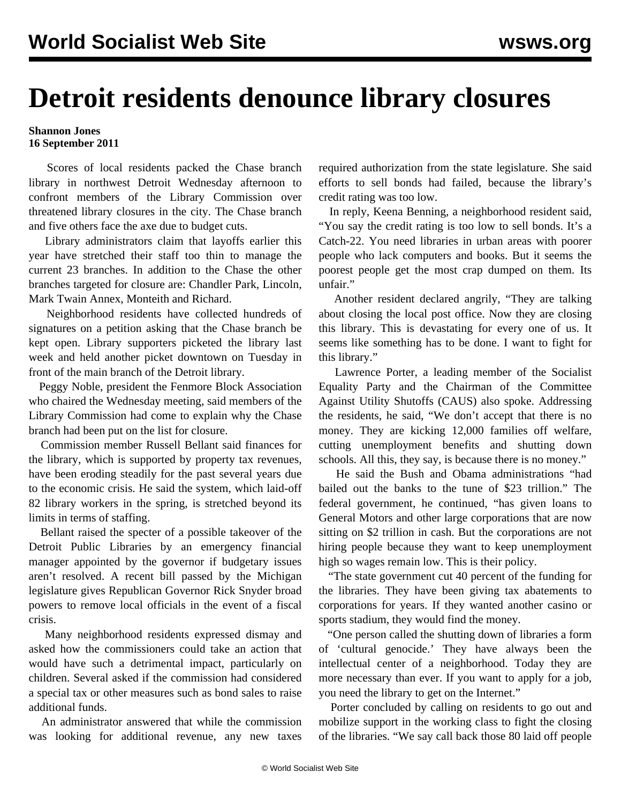## **Detroit residents denounce library closures**

## **Shannon Jones 16 September 2011**

 Scores of local residents packed the Chase branch library in northwest Detroit Wednesday afternoon to confront members of the Library Commission over threatened library closures in the city. The Chase branch and five others face the axe due to budget cuts.

 Library administrators claim that layoffs earlier this year have stretched their staff too thin to manage the current 23 branches. In addition to the Chase the other branches targeted for closure are: Chandler Park, Lincoln, Mark Twain Annex, Monteith and Richard.

 Neighborhood residents have collected hundreds of signatures on a petition asking that the Chase branch be kept open. Library supporters picketed the library last week and held another picket downtown on Tuesday in front of the main branch of the Detroit library.

 Peggy Noble, president the Fenmore Block Association who chaired the Wednesday meeting, said members of the Library Commission had come to explain why the Chase branch had been put on the list for closure.

 Commission member Russell Bellant said finances for the library, which is supported by property tax revenues, have been eroding steadily for the past several years due to the economic crisis. He said the system, which laid-off 82 library workers in the spring, is stretched beyond its limits in terms of staffing.

 Bellant raised the specter of a possible takeover of the Detroit Public Libraries by an emergency financial manager appointed by the governor if budgetary issues aren't resolved. A recent bill passed by the Michigan legislature gives Republican Governor Rick Snyder broad powers to remove local officials in the event of a fiscal crisis.

 Many neighborhood residents expressed dismay and asked how the commissioners could take an action that would have such a detrimental impact, particularly on children. Several asked if the commission had considered a special tax or other measures such as bond sales to raise additional funds.

 An administrator answered that while the commission was looking for additional revenue, any new taxes

required authorization from the state legislature. She said efforts to sell bonds had failed, because the library's credit rating was too low.

 In reply, Keena Benning, a neighborhood resident said, "You say the credit rating is too low to sell bonds. It's a Catch-22. You need libraries in urban areas with poorer people who lack computers and books. But it seems the poorest people get the most crap dumped on them. Its unfair."

 Another resident declared angrily, "They are talking about closing the local post office. Now they are closing this library. This is devastating for every one of us. It seems like something has to be done. I want to fight for this library."

 Lawrence Porter, a leading member of the Socialist Equality Party and the Chairman of the Committee Against Utility Shutoffs (CAUS) also spoke. Addressing the residents, he said, "We don't accept that there is no money. They are kicking 12,000 families off welfare, cutting unemployment benefits and shutting down schools. All this, they say, is because there is no money."

 He said the Bush and Obama administrations "had bailed out the banks to the tune of \$23 trillion." The federal government, he continued, "has given loans to General Motors and other large corporations that are now sitting on \$2 trillion in cash. But the corporations are not hiring people because they want to keep unemployment high so wages remain low. This is their policy.

 "The state government cut 40 percent of the funding for the libraries. They have been giving tax abatements to corporations for years. If they wanted another casino or sports stadium, they would find the money.

 "One person called the shutting down of libraries a form of 'cultural genocide.' They have always been the intellectual center of a neighborhood. Today they are more necessary than ever. If you want to apply for a job, you need the library to get on the Internet."

 Porter concluded by calling on residents to go out and mobilize support in the working class to fight the closing of the libraries. "We say call back those 80 laid off people